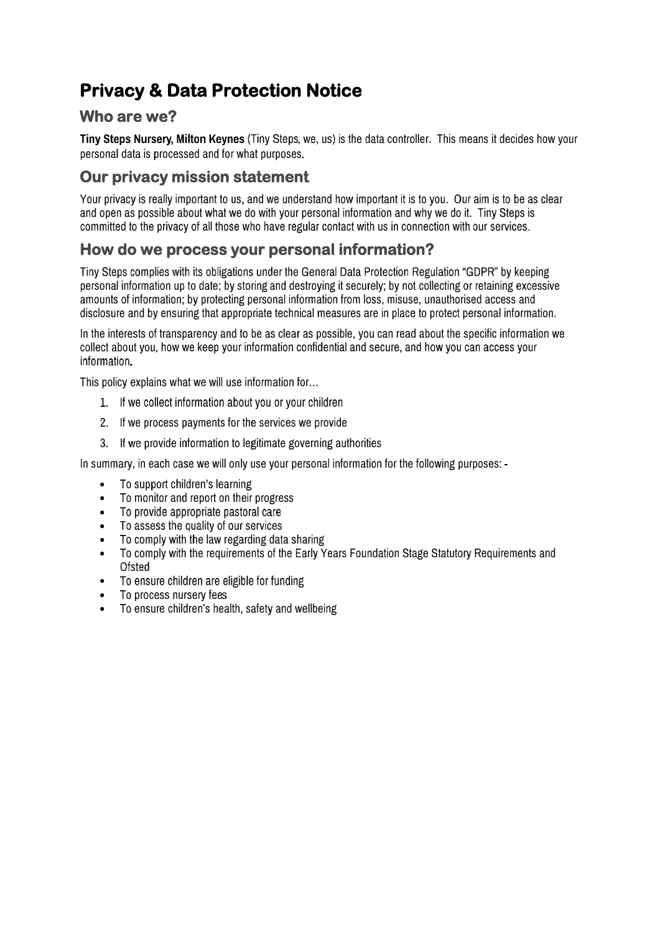# **Privacy & Data Protection Notice**

### **Who are we?**

Tiny Steps Nursery, Milton Keynes (Tiny Steps, we, us) is the data controller. This means it decides how your personal data is processed and for what purposes.

## **Our privacy mission statement**

Your privacy is really important to us, and we understand how important it is to you. Our aim is to be as clear and open as possible about what we do with your personal information and why we do it. Tiny Steps is committed to the privacy of all those who have regular contact with us in connection with our services.

### **How do we process your personal information?**

Tiny Steps complies with its obligations under the General Data Protection Regulation "GDPR" by keeping personal information up to date; by storing and destroying it securely; by not collecting or retaining excessive amounts of information; by protecting personal information from loss, misuse, unauthorised access and disclosure and by ensuring that appropriate technical measures are in place to protect personal information.

In the interests of transparency and to be as clear as possible, you can read about the specific information we collect about you, how we keep your information confidential and secure, and how you can access your information.

This policy explains what we will use information for...

- 1. If we collect information about you or your children
- 2. If we process payments for the services we provide
- 3. If we provide information to legitimate governing authorities

In summary, in each case we will only use your personal information for the following purposes: -

- To support children's learning •
- To monitor and report on their progress •
- To provide appropriate pastoral care •
- To assess the quality of our services •
- To comply with the law regarding data sharing •
- To comply with the requirements of the Early Years Foundation Stage Statutory Requirements and • Ofsted
- To ensure children are eligible for funding •
- To process nursery fees •
- To ensure children's health, safety and wellbeing •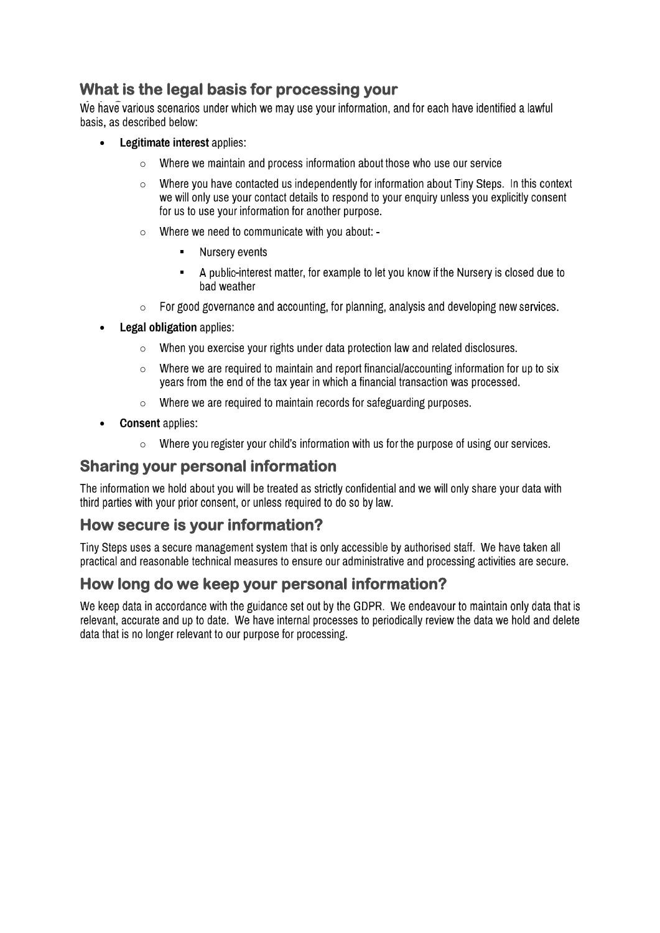# **What is the legal basis for processing your**

We have various scenarios under which we may use your information, and for each have identified a lawful basis, as described below:

- Legitimate interest applies: •
	- Where we maintain and process information about those who use our service o
	- Where you have contacted us independently for information about Tiny Steps. In this context o we will only use your contact details to respond to your enquiry unless you explicitly consent for us to use your information for another purpose.
	- Where we need to communicate with you about: o
		- Nursery events
		- A public-interest matter, for example to let you know if the Nursery is closed due to ▪ bad weather
	- For good governance and accounting, for planning, analysis and developing new services. o
- **Legal obligation applies:** •
	- When you exercise your rights under data protection law and related disclosures. o
	- Where we are required to maintain and report financial/accounting information for up to six o years from the end of the tax year in which a financial transaction was processed.
	- Where we are required to maintain records for safeguarding purposes. o
- **Consent** applies: •
	- $\circ$  Where you register your child's information with us for the purpose of using our services.

#### **Sharing your personal information**

The information we hold about you will be treated as strictly confidential and we will only share your data with third parties with your prior consent, or unless required to do so by law.

#### **How secure is your information?**

Tiny Steps uses a secure management system that is only accessible by authorised staff. We have taken all practical and reasonable technical measures to ensure our administrative and processing activities are secure.

### **How long do we keep your personal information?**

We keep data in accordance with the guidance set out by the GDPR. We endeavour to maintain only data that is relevant, accurate and up to date. We have internal processes to periodically review the data we hold and delete data that is no longer relevant to our purpose for processing.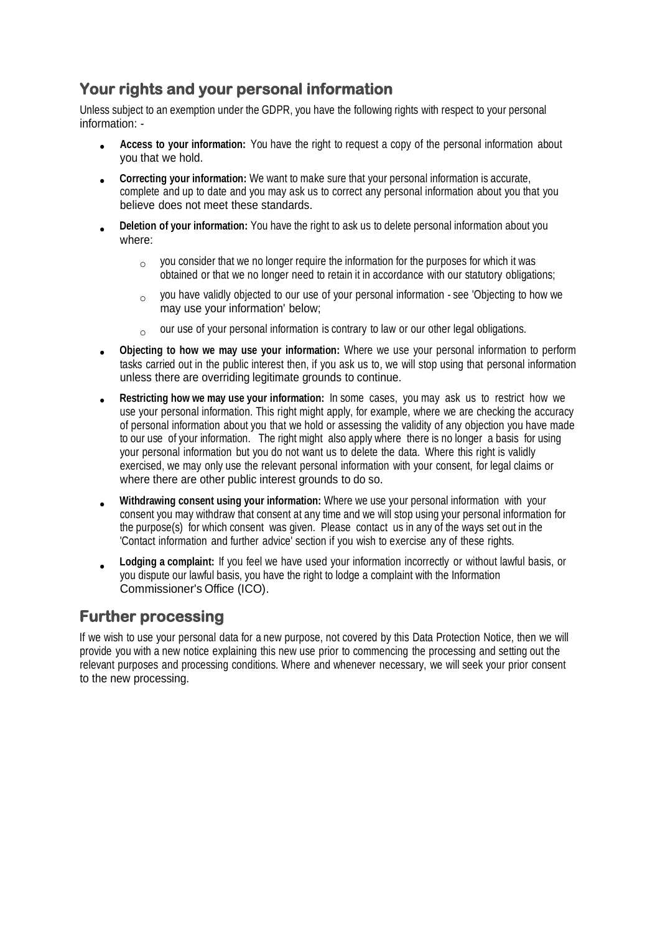# **Your rights and your personal information**

Unless subject to an exemption under the GDPR, you have the following rights with respect to your personal information: -

- **Access to your information:** You have the right to request a copy of the personal information about you that we hold. •
- **Correcting your information:** We want to make sure that your personal information is accurate, complete and up to date and you may ask us to correct any personal information about you that you believe does not meet these standards. •
- **Deletion of your information:** You have the right to ask us to delete personal information about you where: •
	- $\rm _{\circ}$  you consider that we no longer require the information for the purposes for which it was obtained or that we no longer need to retain it in accordance with our statutory obligations;
	- you have validly objected to our use of your personal information see 'Objecting to how we may use your information' below; o
	- our use of your personal information is contrary to law or our other legal obligations. o
- **Objecting to how we may use your information:** Where we use your personal information to perform tasks carried out in the public interest then, if you ask us to, we will stop using that personal information unless there are overriding legitimate grounds to continue. •
- **Restricting how we may use your information:** In some cases, you may ask us to restrict how we use your personal information. This right might apply, for example, where we are checking the accuracy of personal information about you that we hold or assessing the validity of any objection you have made to our use of your information. The right might also apply where there is no longer a basis for using your personal information but you do not want us to delete the data. Where this right is validly exercised, we may only use the relevant personal information with your consent, for legal claims or where there are other public interest grounds to do so. •
- **Withdrawing consent using your information:** Where we use your personal information with your consent you may withdraw that consent at any time and we will stop using your personal information for the purpose(s) for which consent was given. Please contact us in any of the ways set out in the 'Contact information and further advice' section if you wish to exercise any of these rights. •
- **Lodging a complaint:** If you feel we have used your information incorrectly or without lawful basis, or you dispute our lawful basis, you have the right to lodge a complaint with the Information Commissioner's Office (ICO). •

# **Further processing**

If we wish to use your personal data for a new purpose, not covered by this Data Protection Notice, then we will provide you with a new notice explaining this new use prior to commencing the processing and setting out the relevant purposes and processing conditions. Where and whenever necessary, we will seek your prior consent to the new processing.